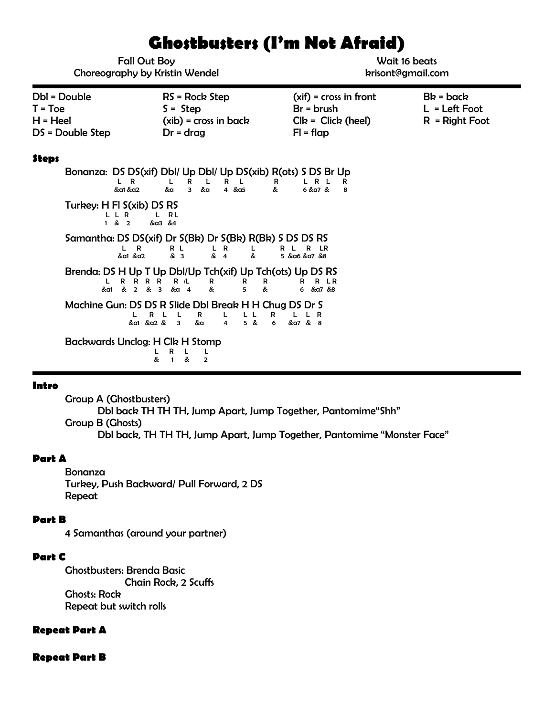# **Ghostbusters (I'm Not Afraid)**

| <b>Fall Out Boy</b><br><b>Choreography by Kristin Wendel</b>                                                                                                                                                                                                                                                                                                                                                                                                                                                                                                                                                                                                                                                                                                                                                                                                                                                 |                                                                          | Wait 16 beats<br>krisont@gmail.com                                              |                                                    |
|--------------------------------------------------------------------------------------------------------------------------------------------------------------------------------------------------------------------------------------------------------------------------------------------------------------------------------------------------------------------------------------------------------------------------------------------------------------------------------------------------------------------------------------------------------------------------------------------------------------------------------------------------------------------------------------------------------------------------------------------------------------------------------------------------------------------------------------------------------------------------------------------------------------|--------------------------------------------------------------------------|---------------------------------------------------------------------------------|----------------------------------------------------|
| Dbl = Double<br>$T = Toe$<br>$H = Heel$<br>DS = Double Step                                                                                                                                                                                                                                                                                                                                                                                                                                                                                                                                                                                                                                                                                                                                                                                                                                                  | $RS = Rock Step$<br>$S =$ Step<br>$(xib)$ = cross in back<br>$Dr = drag$ | $(xif) = cross in front$<br>$Br = brush$<br>$Clk = Click (heel)$<br>$FI = flap$ | $Bk = back$<br>$L = Left$ Foot<br>$R =$ Right Foot |
| <b>Steps</b><br>Bonanza: DS DS(xif) Dbl/ Up Dbl/ Up DS(xib) R(ots) S DS Br Up<br>L R L<br>L R<br>R<br>- L<br>R.<br>L<br>L.<br>R<br>R<br>$3 - \& \alpha$<br>4 & 8a5<br>6 & a7 &<br>&a1 &a2<br>&a<br>&<br>8<br>Turkey: H FI S(xib) DS RS<br>L L R<br>L RL<br>1 & 2<br>&a3 &4<br>Samantha: DS DS(xif) Dr S(Bk) Dr S(Bk) R(Bk) S DS DS RS<br>$\mathsf{R}$<br>R L R LR<br>R L<br>& 3<br>L.<br>$\begin{array}{cc} L & R \\ & 4 \end{array}$<br>L<br>&<br>&a1 &a2<br>5 & α6 & α7 & 8<br>Brenda: DS H Up T Up Dbl/Up Tch(xif) Up Tch(ots) Up DS RS<br>R R R R R /L<br>R R LR<br>R<br>R<br>R<br>& a1 & 2 & 3 & a 4<br>&<br>&<br>5.<br>6 & a7 & 8<br>Machine Gun: DS DS R Slide Dbl Break H H Chug DS Dr S<br>R<br>L L<br>$\mathbf{L}$<br>L<br>R L<br>R<br>L R<br>&a1 &a2 & 3<br>5 & 8<br>&a<br>$\overline{\mathbf{4}}$<br>6<br>&a7 & 8<br>Backwards Unclog: H Clk H Stomp<br>R<br>L<br>L<br>œ.<br>&<br>$\overline{2}$ |                                                                          |                                                                                 |                                                    |

## **Intro**

Group A (Ghostbusters) Dbl back TH TH TH, Jump Apart, Jump Together, Pantomime"Shh" Group B (Ghosts) Dbl back, TH TH TH, Jump Apart, Jump Together, Pantomime "Monster Face"

#### **Part A**

Bonanza Turkey, Push Backward/ Pull Forward, 2 DS Repeat

#### **Part B**

4 Samanthas (around your partner)

#### **Part C**

Ghostbusters: Brenda Basic Chain Rock, 2 Scuffs Ghosts: Rock Repeat but switch rolls

## **Repeat Part A**

**Repeat Part B**